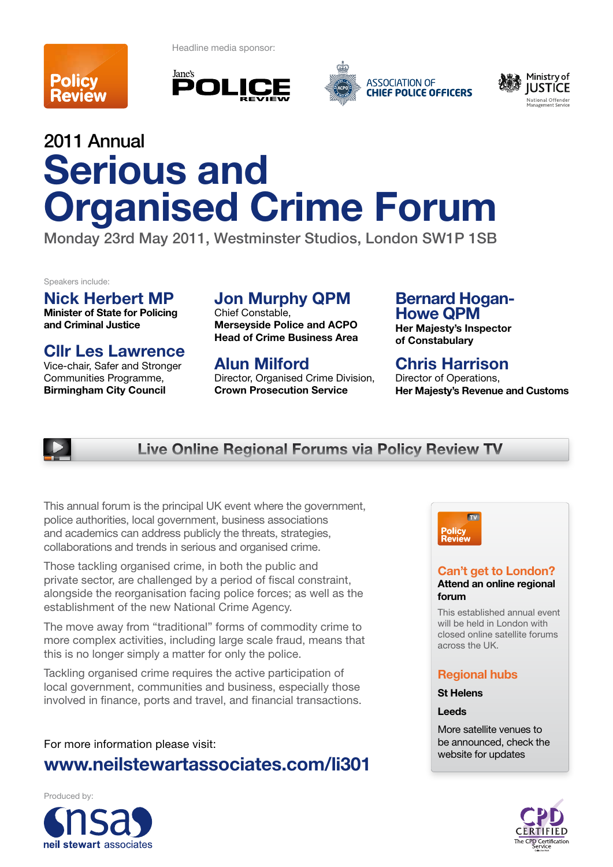

Headline media sponsor:







# 2011 Annual **Serious and Organised Crime Forum**

Monday 23rd May 2011, Westminster Studios, London SW1P 1SB

Speakers include:

**Nick Herbert MP**

**Minister of State for Policing and Criminal Justice** 

**Cllr Les Lawrence**

Vice-chair, Safer and Stronger Communities Programme, **Birmingham City Council**

## **Jon Murphy QPM**

Chief Constable, **Merseyside Police and ACPO Head of Crime Business Area** 

**Alun Milford**

Director, Organised Crime Division, **Crown Prosecution Service** 

### **Bernard Hogan-Howe QPM**

**Her Majesty's Inspector of Constabulary** 

### **Chris Harrison**

Director of Operations, **Her Majesty's Revenue and Customs**



### **Live Online Regional Forums via Policy Review TV**

This annual forum is the principal UK event where the government, police authorities, local government, business associations and academics can address publicly the threats, strategies, collaborations and trends in serious and organised crime.

Those tackling organised crime, in both the public and private sector, are challenged by a period of fiscal constraint, alongside the reorganisation facing police forces; as well as the establishment of the new National Crime Agency.

The move away from "traditional" forms of commodity crime to more complex activities, including large scale fraud, means that this is no longer simply a matter for only the police.

Tackling organised crime requires the active participation of local government, communities and business, especially those involved in finance, ports and travel, and financial transactions.

For more information please visit: **www.neilstewartassociates.com/li301**



### **Can't get to London? Attend an online regional forum**

This established annual event will be held in London with closed online satellite forums across the UK.

### **Regional hubs**

**St Helens**

### **Leeds**

More satellite venues to be announced, check the website for updates

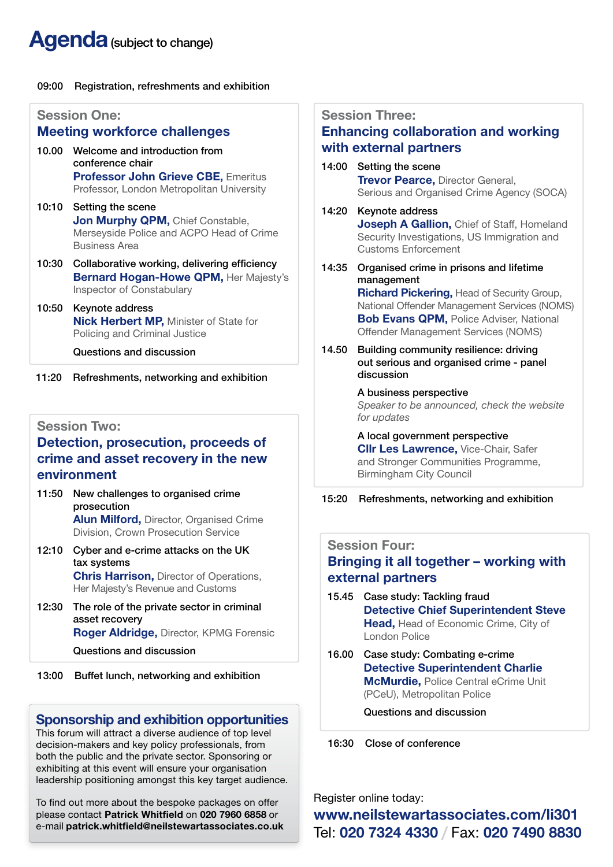# **Agenda** (subject to change)

### 09:00 Registration, refreshments and exhibition

|       | <b>Session One:</b><br><b>Meeting workforce challenges</b>                                                                                   | S <sub>6</sub><br>Er |
|-------|----------------------------------------------------------------------------------------------------------------------------------------------|----------------------|
| 10.00 | Welcome and introduction from<br>conference chair<br><b>Professor John Grieve CBE, Emeritus</b><br>Professor, London Metropolitan University | W<br>14              |
|       | 10:10 Setting the scene<br><b>Jon Murphy QPM, Chief Constable,</b><br>Merseyside Police and ACPO Head of Crime<br><b>Business Area</b>       | 14                   |
| 10:30 | Collaborative working, delivering efficiency<br>Bernard Hogan-Howe QPM, Her Majesty's<br><b>Inspector of Constabulary</b>                    | 14                   |
| 10:50 | Keynote address<br>Nick Herbert MP, Minister of State for<br>Policing and Criminal Justice<br>Questions and discussion                       | 14                   |
| 11:20 | Refreshments, networking and exhibition                                                                                                      |                      |

### **Session Two:**

### **Detection, prosecution, proceeds of crime and asset recovery in the new environment**

- 11:50 New challenges to organised crime prosecution **Alun Milford,** Director, Organised Crime Division, Crown Prosecution Service
- 12:10 Cyber and e-crime attacks on the UK tax systems **Chris Harrison,** Director of Operations, Her Majesty's Revenue and Customs
- 12:30 The role of the private sector in criminal asset recovery **Roger Aldridge,** Director, KPMG Forensic

Questions and discussion

13:00 Buffet lunch, networking and exhibition

### **Sponsorship and exhibition opportunities**

This forum will attract a diverse audience of top level decision-makers and key policy professionals, from both the public and the private sector. Sponsoring or exhibiting at this event will ensure your organisation leadership positioning amongst this key target audience.

To find out more about the bespoke packages on offer please contact **Patrick Whitfield** on **020 7960 6858** or e-mail **patrick.whitfield@neilstewartassociates.co.uk**

### **Session Three:**

### **Enhancing collaboration and working with external partners**

- 14:00 Setting the scene **Trevor Pearce,** Director General, Serious and Organised Crime Agency (SOCA)
- 14:20 Keynote address **Joseph A Gallion, Chief of Staff, Homeland** Security Investigations, US Immigration and Customs Enforcement
- 14:35 Organised crime in prisons and lifetime management

**Richard Pickering,** Head of Security Group, National Offender Management Services (NOMS) **Bob Evans QPM,** Police Adviser, National Offender Management Services (NOMS)

14.50 Building community resilience: driving out serious and organised crime - panel discussion

### A business perspective

*Speaker to be announced, check the website for updates*

 A local government perspective **Cllr Les Lawrence,** Vice-Chair, Safer and Stronger Communities Programme, Birmingham City Council

### 15:20 Refreshments, networking and exhibition

### **Session Four:**

### **Bringing it all together – working with external partners**

- 15.45 Case study: Tackling fraud **Detective Chief Superintendent Steve Head,** Head of Economic Crime, City of London Police
- 16.00 Case study: Combating e-crime **Detective Superintendent Charlie McMurdie,** Police Central eCrime Unit (PCeU), Metropolitan Police

Questions and discussion

16:30 Close of conference

Register online today:

**www.neilstewartassociates.com/li301** Tel: **020 7324 4330 /** Fax: **020 7490 8830**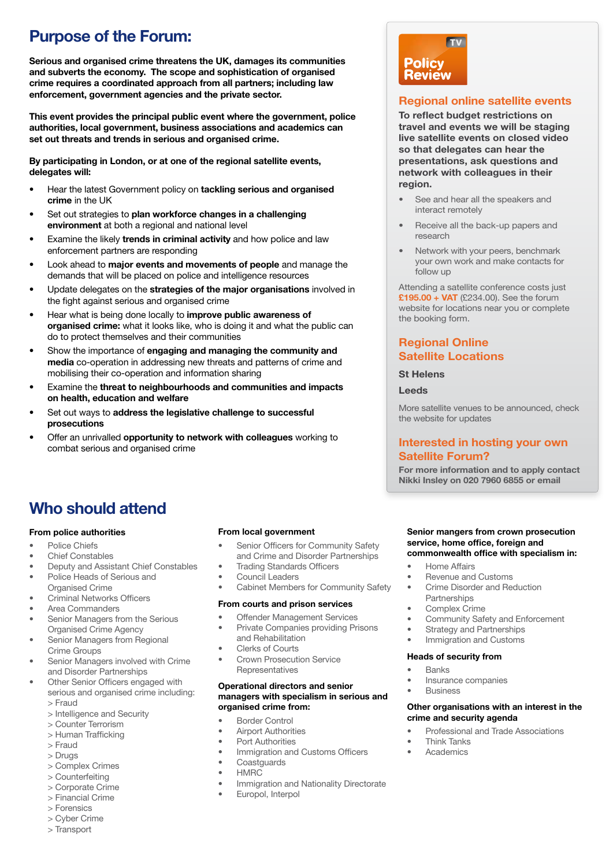### **Purpose of the Forum:**

**Serious and organised crime threatens the UK, damages its communities and subverts the economy. The scope and sophistication of organised crime requires a coordinated approach from all partners; including law enforcement, government agencies and the private sector.** 

**This event provides the principal public event where the government, police authorities, local government, business associations and academics can set out threats and trends in serious and organised crime.**

**By participating in London, or at one of the regional satellite events, delegates will:**

- Hear the latest Government policy on **tackling serious and organised crime** in the UK
- Set out strategies to **plan workforce changes in a challenging environment** at both a regional and national level
- Examine the likely **trends in criminal activity** and how police and law enforcement partners are responding
- Look ahead to **major events and movements of people** and manage the demands that will be placed on police and intelligence resources
- Update delegates on the **strategies of the major organisations** involved in the fight against serious and organised crime
- Hear what is being done locally to **improve public awareness of organised crime:** what it looks like, who is doing it and what the public can do to protect themselves and their communities
- Show the importance of **engaging and managing the community and media** co-operation in addressing new threats and patterns of crime and mobilising their co-operation and information sharing
- Examine the **threat to neighbourhoods and communities and impacts on health, education and welfare**
- Set out ways to **address the legislative challenge to successful prosecutions**
- Offer an unrivalled **opportunity to network with colleagues** working to combat serious and organised crime

# **TV Policy<br>Review**

### **Regional online satellite events**

**To reflect budget restrictions on travel and events we will be staging live satellite events on closed video so that delegates can hear the presentations, ask questions and network with colleagues in their region.**

- See and hear all the speakers and interact remotely
- Receive all the back-up papers and research
- Network with your peers, benchmark your own work and make contacts for follow up

Attending a satellite conference costs just **£195.00 + VAT** (£234.00). See the forum website for locations near you or complete the booking form.

### **Regional Online Satellite Locations**

#### **St Helens**

#### **Leeds**

More satellite venues to be announced, check the website for updates

### **Interested in hosting your own Satellite Forum?**

**For more information and to apply contact Nikki Insley on 020 7960 6855 or email**

### **Who should attend**

#### **From police authorities**

- Police Chiefs
- Chief Constables
- Deputy and Assistant Chief Constables
- Police Heads of Serious and Organised Crime
- Criminal Networks Officers
- Area Commanders
- Senior Managers from the Serious Organised Crime Agency
- Senior Managers from Regional Crime Groups
- Senior Managers involved with Crime and Disorder Partnerships
- Other Senior Officers engaged with serious and organised crime including:
	- > Fraud
	- > Intelligence and Security
	- > Counter Terrorism
	- > Human Trafficking
	- > Fraud
	- > Drugs
	- > Complex Crimes
	- > Counterfeiting > Corporate Crime
	- > Financial Crime
	- > Forensics
	- > Cyber Crime
	- > Transport

### **From local government**

- Senior Officers for Community Safety and Crime and Disorder Partnerships
- **Trading Standards Officers**
- Council Leaders
- Cabinet Members for Community Safety

#### **From courts and prison services**

- **Offender Management Services**
- Private Companies providing Prisons and Rehabilitation
- Clerks of Courts
- Crown Prosecution Service **Representatives**

#### **Operational directors and senior managers with specialism in serious and organised crime from:**

- Border Control
- **Airport Authorities**
- Port Authorities
- Immigration and Customs Officers
- **Coastguards**
- HMRC
- Immigration and Nationality Directorate
- Europol, Interpol

#### **Senior mangers from crown prosecution service, home office, foreign and commonwealth office with specialism in:**

- Home Affairs
- Revenue and Customs
- Crime Disorder and Reduction
- Partnerships
- Complex Crime
- Community Safety and Enforcement
- Strategy and Partnerships
- Immigration and Customs

#### **Heads of security from**

- **Banks**
- Insurance companies
- Business

#### **Other organisations with an interest in the crime and security agenda**

- Professional and Trade Associations
- Think Tanks
- **Academics**